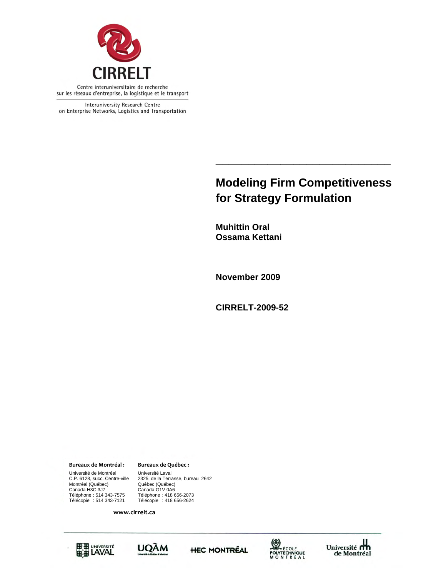

Interuniversity Research Centre on Enterprise Networks, Logistics and Transportation

## **Modeling Firm Competitiveness for Strategy Formulation**

**\_\_\_\_\_\_\_\_\_\_\_\_\_\_\_\_\_\_\_\_\_\_\_\_\_\_\_** 

**Muhittin Oral Ossama Kettani** 

**November 2009** 

**CIRRELT-2009-52** 

**Bureaux de Montréal : Bureaux de Québec :**

G1V 0A6 Téléphone : 514 343-7575 Téléphone : 418 656-2073 Télécopie : 514 343-7121 Télécopie : 418 656-2624 Université de Montréal Université Laval Montréal (Québec) Canada H3C 3J7<br>
Téléphone : 514 343-7575<br>
Télécopie : 514 343-7121

C.P. 6128, succ. Centre-ville 2325, de la Terrasse, bureau 2642

**www.cirrelt.ca**









Université<br>de Montréal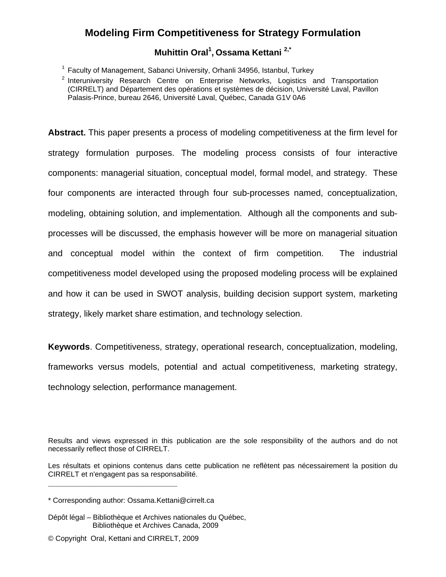# **Modeling Firm Competitiveness for Strategy Formulation**

## **Muhittin Oral1 , Ossama Kettani 2,\***

<sup>1</sup> Faculty of Management, Sabanci University, Orhanli 34956, Istanbul, Turkey

2 Interuniversity Research Centre on Enterprise Networks, Logistics and Transportation (CIRRELT) and Département des opérations et systèmes de décision, Université Laval, Pavillon Palasis-Prince, bureau 2646, Université Laval, Québec, Canada G1V 0A6

**Abstract.** This paper presents a process of modeling competitiveness at the firm level for strategy formulation purposes. The modeling process consists of four interactive components: managerial situation, conceptual model, formal model, and strategy. These four components are interacted through four sub-processes named, conceptualization, modeling, obtaining solution, and implementation. Although all the components and subprocesses will be discussed, the emphasis however will be more on managerial situation and conceptual model within the context of firm competition. The industrial competitiveness model developed using the proposed modeling process will be explained and how it can be used in SWOT analysis, building decision support system, marketing strategy, likely market share estimation, and technology selection.

**Keywords**. Competitiveness, strategy, operational research, conceptualization, modeling, frameworks versus models, potential and actual competitiveness, marketing strategy, technology selection, performance management.

- Dépôt légal Bibliothèque et Archives nationales du Québec, Bibliothèque et Archives Canada, 2009
- © Copyright Oral, Kettani and CIRRELT, 2009

**\_\_\_\_\_\_\_\_\_\_\_\_\_\_\_\_\_\_\_\_\_\_\_\_\_\_\_\_\_**

Results and views expressed in this publication are the sole responsibility of the authors and do not necessarily reflect those of CIRRELT.

Les résultats et opinions contenus dans cette publication ne reflètent pas nécessairement la position du CIRRELT et n'engagent pas sa responsabilité.

<sup>\*</sup> Corresponding author: Ossama.Kettani@cirrelt.ca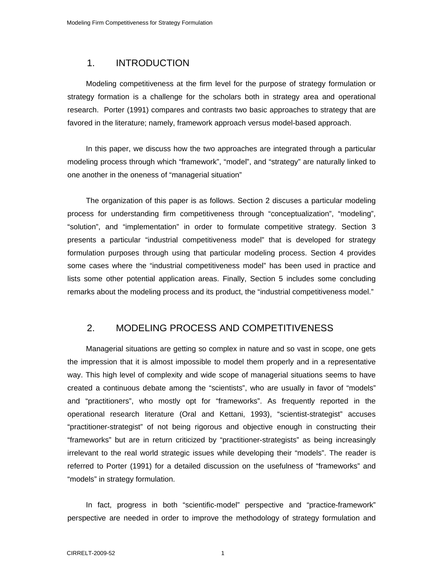## 1. INTRODUCTION

Modeling competitiveness at the firm level for the purpose of strategy formulation or strategy formation is a challenge for the scholars both in strategy area and operational research. Porter (1991) compares and contrasts two basic approaches to strategy that are favored in the literature; namely, framework approach versus model-based approach.

In this paper, we discuss how the two approaches are integrated through a particular modeling process through which "framework", "model", and "strategy" are naturally linked to one another in the oneness of "managerial situation"

The organization of this paper is as follows. Section 2 discuses a particular modeling process for understanding firm competitiveness through "conceptualization", "modeling", "solution", and "implementation" in order to formulate competitive strategy. Section 3 presents a particular "industrial competitiveness model" that is developed for strategy formulation purposes through using that particular modeling process. Section 4 provides some cases where the "industrial competitiveness model" has been used in practice and lists some other potential application areas. Finally, Section 5 includes some concluding remarks about the modeling process and its product, the "industrial competitiveness model."

## 2. MODELING PROCESS AND COMPETITIVENESS

Managerial situations are getting so complex in nature and so vast in scope, one gets the impression that it is almost impossible to model them properly and in a representative way. This high level of complexity and wide scope of managerial situations seems to have created a continuous debate among the "scientists", who are usually in favor of "models" and "practitioners", who mostly opt for "frameworks". As frequently reported in the operational research literature (Oral and Kettani, 1993), "scientist-strategist" accuses "practitioner-strategist" of not being rigorous and objective enough in constructing their "frameworks" but are in return criticized by "practitioner-strategists" as being increasingly irrelevant to the real world strategic issues while developing their "models". The reader is referred to Porter (1991) for a detailed discussion on the usefulness of "frameworks" and "models" in strategy formulation.

In fact, progress in both "scientific-model" perspective and "practice-framework" perspective are needed in order to improve the methodology of strategy formulation and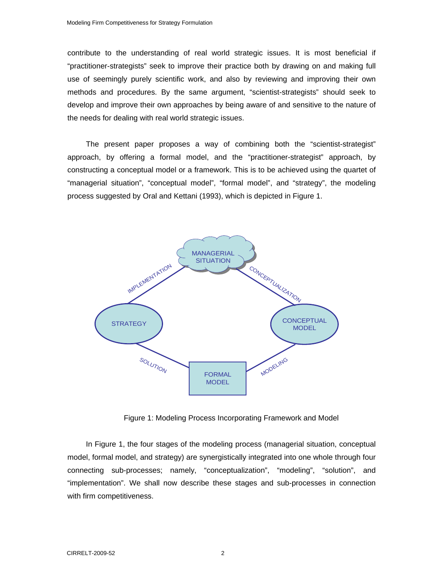contribute to the understanding of real world strategic issues. It is most beneficial if "practitioner-strategists" seek to improve their practice both by drawing on and making full use of seemingly purely scientific work, and also by reviewing and improving their own methods and procedures. By the same argument, "scientist-strategists" should seek to develop and improve their own approaches by being aware of and sensitive to the nature of the needs for dealing with real world strategic issues.

The present paper proposes a way of combining both the "scientist-strategist" approach, by offering a formal model, and the "practitioner-strategist" approach, by constructing a conceptual model or a framework. This is to be achieved using the quartet of "managerial situation", "conceptual model", "formal model", and "strategy", the modeling process suggested by Oral and Kettani (1993), which is depicted in Figure 1.



Figure 1: Modeling Process Incorporating Framework and Model

In Figure 1, the four stages of the modeling process (managerial situation, conceptual model, formal model, and strategy) are synergistically integrated into one whole through four connecting sub-processes; namely, "conceptualization", "modeling", "solution", and "implementation". We shall now describe these stages and sub-processes in connection with firm competitiveness.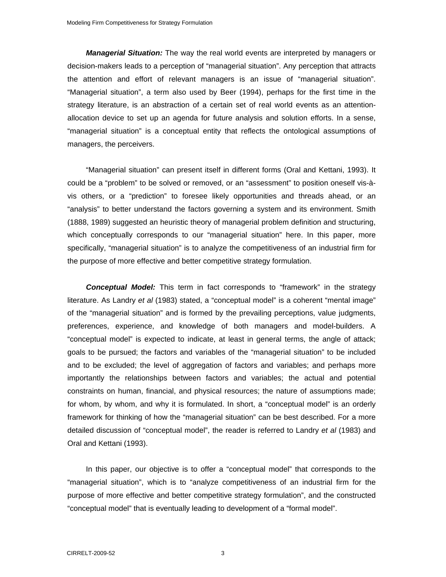*Managerial Situation:* The way the real world events are interpreted by managers or decision-makers leads to a perception of "managerial situation". Any perception that attracts the attention and effort of relevant managers is an issue of "managerial situation". "Managerial situation", a term also used by Beer (1994), perhaps for the first time in the strategy literature, is an abstraction of a certain set of real world events as an attentionallocation device to set up an agenda for future analysis and solution efforts. In a sense, "managerial situation" is a conceptual entity that reflects the ontological assumptions of managers, the perceivers.

"Managerial situation" can present itself in different forms (Oral and Kettani, 1993). It could be a "problem" to be solved or removed, or an "assessment" to position oneself vis-àvis others, or a "prediction" to foresee likely opportunities and threads ahead, or an "analysis" to better understand the factors governing a system and its environment. Smith (1888, 1989) suggested an heuristic theory of managerial problem definition and structuring, which conceptually corresponds to our "managerial situation" here. In this paper, more specifically, "managerial situation" is to analyze the competitiveness of an industrial firm for the purpose of more effective and better competitive strategy formulation.

*Conceptual Model:* This term in fact corresponds to "framework" in the strategy literature. As Landry *et al* (1983) stated, a "conceptual model" is a coherent "mental image" of the "managerial situation" and is formed by the prevailing perceptions, value judgments, preferences, experience, and knowledge of both managers and model-builders. A "conceptual model" is expected to indicate, at least in general terms, the angle of attack; goals to be pursued; the factors and variables of the "managerial situation" to be included and to be excluded; the level of aggregation of factors and variables; and perhaps more importantly the relationships between factors and variables; the actual and potential constraints on human, financial, and physical resources; the nature of assumptions made; for whom, by whom, and why it is formulated. In short, a "conceptual model" is an orderly framework for thinking of how the "managerial situation" can be best described. For a more detailed discussion of "conceptual model", the reader is referred to Landry *et al* (1983) and Oral and Kettani (1993).

In this paper, our objective is to offer a "conceptual model" that corresponds to the "managerial situation", which is to "analyze competitiveness of an industrial firm for the purpose of more effective and better competitive strategy formulation", and the constructed "conceptual model" that is eventually leading to development of a "formal model".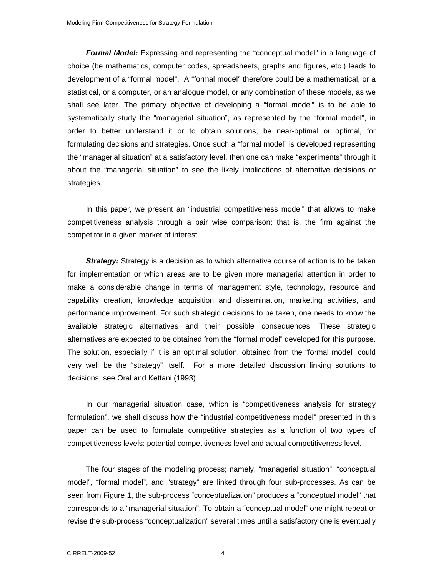*Formal Model:* Expressing and representing the "conceptual model" in a language of choice (be mathematics, computer codes, spreadsheets, graphs and figures, etc.) leads to development of a "formal model". A "formal model" therefore could be a mathematical, or a statistical, or a computer, or an analogue model, or any combination of these models, as we shall see later. The primary objective of developing a "formal model" is to be able to systematically study the "managerial situation", as represented by the "formal model", in order to better understand it or to obtain solutions, be near-optimal or optimal, for formulating decisions and strategies. Once such a "formal model" is developed representing the "managerial situation" at a satisfactory level, then one can make "experiments" through it about the "managerial situation" to see the likely implications of alternative decisions or strategies.

In this paper, we present an "industrial competitiveness model" that allows to make competitiveness analysis through a pair wise comparison; that is, the firm against the competitor in a given market of interest.

*Strategy:* Strategy is a decision as to which alternative course of action is to be taken for implementation or which areas are to be given more managerial attention in order to make a considerable change in terms of management style, technology, resource and capability creation, knowledge acquisition and dissemination, marketing activities, and performance improvement. For such strategic decisions to be taken, one needs to know the available strategic alternatives and their possible consequences. These strategic alternatives are expected to be obtained from the "formal model" developed for this purpose. The solution, especially if it is an optimal solution, obtained from the "formal model" could very well be the "strategy" itself. For a more detailed discussion linking solutions to decisions, see Oral and Kettani (1993)

In our managerial situation case, which is "competitiveness analysis for strategy formulation", we shall discuss how the "industrial competitiveness model" presented in this paper can be used to formulate competitive strategies as a function of two types of competitiveness levels: potential competitiveness level and actual competitiveness level.

The four stages of the modeling process; namely, "managerial situation", "conceptual model", "formal model", and "strategy" are linked through four sub-processes. As can be seen from Figure 1, the sub-process "conceptualization" produces a "conceptual model" that corresponds to a "managerial situation". To obtain a "conceptual model" one might repeat or revise the sub-process "conceptualization" several times until a satisfactory one is eventually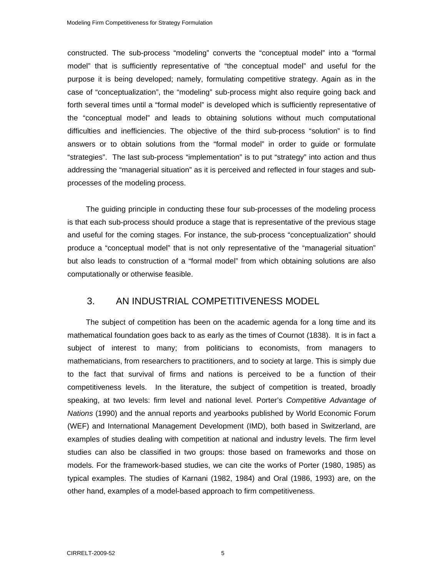constructed. The sub-process "modeling" converts the "conceptual model" into a "formal model" that is sufficiently representative of "the conceptual model" and useful for the purpose it is being developed; namely, formulating competitive strategy. Again as in the case of "conceptualization", the "modeling" sub-process might also require going back and forth several times until a "formal model" is developed which is sufficiently representative of the "conceptual model" and leads to obtaining solutions without much computational difficulties and inefficiencies. The objective of the third sub-process "solution" is to find answers or to obtain solutions from the "formal model" in order to guide or formulate "strategies". The last sub-process "implementation" is to put "strategy" into action and thus addressing the "managerial situation" as it is perceived and reflected in four stages and subprocesses of the modeling process.

The guiding principle in conducting these four sub-processes of the modeling process is that each sub-process should produce a stage that is representative of the previous stage and useful for the coming stages. For instance, the sub-process "conceptualization" should produce a "conceptual model" that is not only representative of the "managerial situation" but also leads to construction of a "formal model" from which obtaining solutions are also computationally or otherwise feasible.

## 3. AN INDUSTRIAL COMPETITIVENESS MODEL

The subject of competition has been on the academic agenda for a long time and its mathematical foundation goes back to as early as the times of Cournot (1838). It is in fact a subject of interest to many; from politicians to economists, from managers to mathematicians, from researchers to practitioners, and to society at large. This is simply due to the fact that survival of firms and nations is perceived to be a function of their competitiveness levels. In the literature, the subject of competition is treated, broadly speaking, at two levels: firm level and national level. Porter's *Competitive Advantage of Nations* (1990) and the annual reports and yearbooks published by World Economic Forum (WEF) and International Management Development (IMD), both based in Switzerland, are examples of studies dealing with competition at national and industry levels. The firm level studies can also be classified in two groups: those based on frameworks and those on models. For the framework-based studies, we can cite the works of Porter (1980, 1985) as typical examples. The studies of Karnani (1982, 1984) and Oral (1986, 1993) are, on the other hand, examples of a model-based approach to firm competitiveness.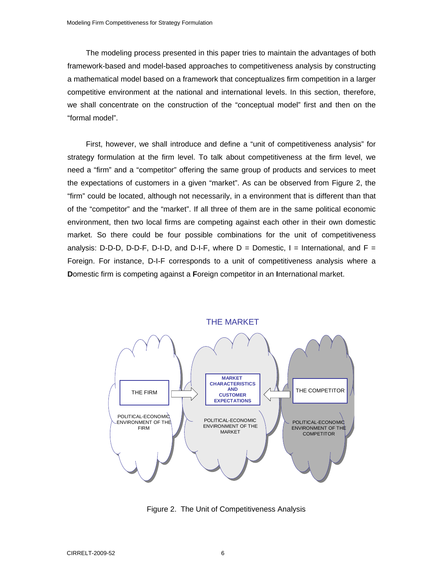The modeling process presented in this paper tries to maintain the advantages of both framework-based and model-based approaches to competitiveness analysis by constructing a mathematical model based on a framework that conceptualizes firm competition in a larger competitive environment at the national and international levels. In this section, therefore, we shall concentrate on the construction of the "conceptual model" first and then on the "formal model".

First, however, we shall introduce and define a "unit of competitiveness analysis" for strategy formulation at the firm level. To talk about competitiveness at the firm level, we need a "firm" and a "competitor" offering the same group of products and services to meet the expectations of customers in a given "market". As can be observed from Figure 2, the "firm" could be located, although not necessarily, in a environment that is different than that of the "competitor" and the "market". If all three of them are in the same political economic environment, then two local firms are competing against each other in their own domestic market. So there could be four possible combinations for the unit of competitiveness analysis: D-D-D, D-D-F, D-I-D, and D-I-F, where  $D =$  Domestic, I = International, and F = Foreign. For instance, D-I-F corresponds to a unit of competitiveness analysis where a **D**omestic firm is competing against a **F**oreign competitor in an **I**nternational market.



Figure 2. The Unit of Competitiveness Analysis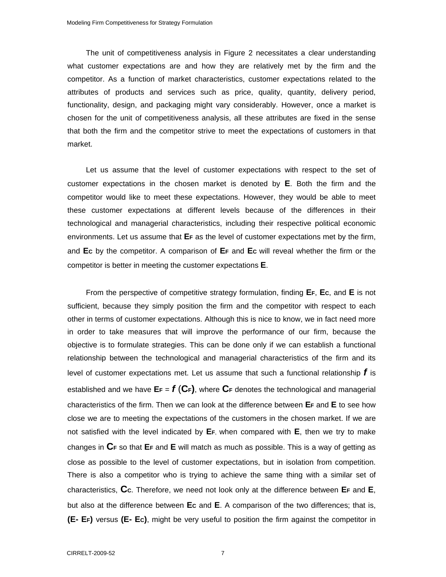The unit of competitiveness analysis in Figure 2 necessitates a clear understanding what customer expectations are and how they are relatively met by the firm and the competitor. As a function of market characteristics, customer expectations related to the attributes of products and services such as price, quality, quantity, delivery period, functionality, design, and packaging might vary considerably. However, once a market is chosen for the unit of competitiveness analysis, all these attributes are fixed in the sense that both the firm and the competitor strive to meet the expectations of customers in that market.

Let us assume that the level of customer expectations with respect to the set of customer expectations in the chosen market is denoted by **E**. Both the firm and the competitor would like to meet these expectations. However, they would be able to meet these customer expectations at different levels because of the differences in their technological and managerial characteristics, including their respective political economic environments. Let us assume that **EF** as the level of customer expectations met by the firm, and **EC** by the competitor. A comparison of **EF** and **EC** will reveal whether the firm or the competitor is better in meeting the customer expectations **E**.

From the perspective of competitive strategy formulation, finding **EF**, **EC**, and **E** is not sufficient, because they simply position the firm and the competitor with respect to each other in terms of customer expectations. Although this is nice to know, we in fact need more in order to take measures that will improve the performance of our firm, because the objective is to formulate strategies. This can be done only if we can establish a functional relationship between the technological and managerial characteristics of the firm and its level of customer expectations met. Let us assume that such a functional relationship *f* is established and we have  $E_F = f(C_F)$ , where  $C_F$  denotes the technological and managerial characteristics of the firm. Then we can look at the difference between **EF** and **E** to see how close we are to meeting the expectations of the customers in the chosen market. If we are not satisfied with the level indicated by **EF**, when compared with **E**, then we try to make changes in **CF** so that **EF** and **E** will match as much as possible. This is a way of getting as close as possible to the level of customer expectations, but in isolation from competition. There is also a competitor who is trying to achieve the same thing with a similar set of characteristics, **CC**. Therefore, we need not look only at the difference between **EF** and **E**, but also at the difference between **Ec** and **E**. A comparison of the two differences; that is, **(E- EF)** versus **(E- EC)**, might be very useful to position the firm against the competitor in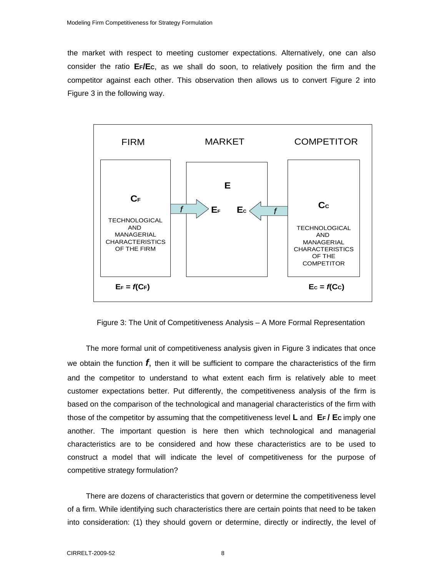the market with respect to meeting customer expectations. Alternatively, one can also consider the ratio **EF/EC**, as we shall do soon, to relatively position the firm and the competitor against each other. This observation then allows us to convert Figure 2 into Figure 3 in the following way.



Figure 3: The Unit of Competitiveness Analysis – A More Formal Representation

The more formal unit of competitiveness analysis given in Figure 3 indicates that once we obtain the function *f*, then it will be sufficient to compare the characteristics of the firm and the competitor to understand to what extent each firm is relatively able to meet customer expectations better. Put differently, the competitiveness analysis of the firm is based on the comparison of the technological and managerial characteristics of the firm with those of the competitor by assuming that the competitiveness level **L** and **EF / EC** imply one another. The important question is here then which technological and managerial characteristics are to be considered and how these characteristics are to be used to construct a model that will indicate the level of competitiveness for the purpose of competitive strategy formulation?

There are dozens of characteristics that govern or determine the competitiveness level of a firm. While identifying such characteristics there are certain points that need to be taken into consideration: (1) they should govern or determine, directly or indirectly, the level of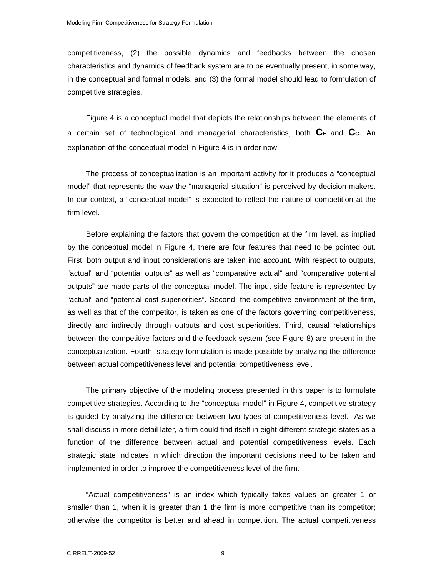competitiveness, (2) the possible dynamics and feedbacks between the chosen characteristics and dynamics of feedback system are to be eventually present, in some way, in the conceptual and formal models, and (3) the formal model should lead to formulation of competitive strategies.

Figure 4 is a conceptual model that depicts the relationships between the elements of a certain set of technological and managerial characteristics, both **CF** and **CC**. An explanation of the conceptual model in Figure 4 is in order now.

The process of conceptualization is an important activity for it produces a "conceptual model" that represents the way the "managerial situation" is perceived by decision makers. In our context, a "conceptual model" is expected to reflect the nature of competition at the firm level.

Before explaining the factors that govern the competition at the firm level, as implied by the conceptual model in Figure 4, there are four features that need to be pointed out. First, both output and input considerations are taken into account. With respect to outputs, "actual" and "potential outputs" as well as "comparative actual" and "comparative potential outputs" are made parts of the conceptual model. The input side feature is represented by "actual" and "potential cost superiorities". Second, the competitive environment of the firm, as well as that of the competitor, is taken as one of the factors governing competitiveness, directly and indirectly through outputs and cost superiorities. Third, causal relationships between the competitive factors and the feedback system (see Figure 8) are present in the conceptualization. Fourth, strategy formulation is made possible by analyzing the difference between actual competitiveness level and potential competitiveness level.

The primary objective of the modeling process presented in this paper is to formulate competitive strategies. According to the "conceptual model" in Figure 4, competitive strategy is guided by analyzing the difference between two types of competitiveness level. As we shall discuss in more detail later, a firm could find itself in eight different strategic states as a function of the difference between actual and potential competitiveness levels. Each strategic state indicates in which direction the important decisions need to be taken and implemented in order to improve the competitiveness level of the firm.

"Actual competitiveness" is an index which typically takes values on greater 1 or smaller than 1, when it is greater than 1 the firm is more competitive than its competitor; otherwise the competitor is better and ahead in competition. The actual competitiveness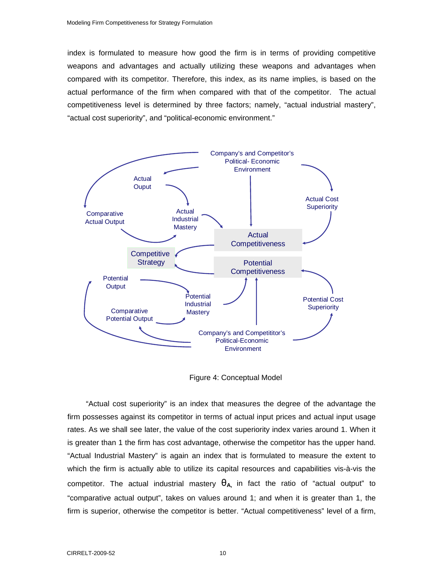index is formulated to measure how good the firm is in terms of providing competitive weapons and advantages and actually utilizing these weapons and advantages when compared with its competitor. Therefore, this index, as its name implies, is based on the actual performance of the firm when compared with that of the competitor. The actual competitiveness level is determined by three factors; namely, "actual industrial mastery", "actual cost superiority", and "political-economic environment."



Figure 4: Conceptual Model

"Actual cost superiority" is an index that measures the degree of the advantage the firm possesses against its competitor in terms of actual input prices and actual input usage rates. As we shall see later, the value of the cost superiority index varies around 1. When it is greater than 1 the firm has cost advantage, otherwise the competitor has the upper hand. "Actual Industrial Mastery" is again an index that is formulated to measure the extent to which the firm is actually able to utilize its capital resources and capabilities vis-à-vis the competitor. The actual industrial mastery  $\theta_{A}$  in fact the ratio of "actual output" to "comparative actual output", takes on values around 1; and when it is greater than 1, the firm is superior, otherwise the competitor is better. "Actual competitiveness" level of a firm,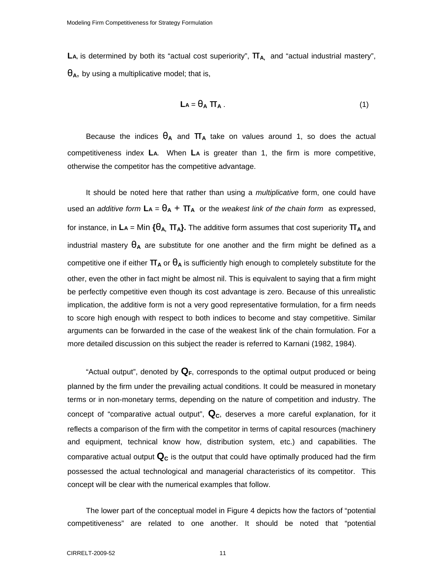LA, is determined by both its "actual cost superiority",  $\Pi_{A}$ , and "actual industrial mastery",  $\theta_A$ , by using a multiplicative model; that is,

$$
La = \theta_A \pi_A \tag{1}
$$

Because the indices  $\theta_A$  and  $\Pi_A$  take on values around 1, so does the actual competitiveness index **LA.** When **LA** is greater than 1, the firm is more competitive, otherwise the competitor has the competitive advantage.

It should be noted here that rather than using a *multiplicative* form, one could have used an *additive form*  $LA = \theta_A + \Pi_A$  or the *weakest link of the chain form* as expressed, for instance, in **LA** = Min **{**θ**A,** π**A}.** The additive form assumes that cost superiority π**A** and industrial mastery  $\theta_A$  are substitute for one another and the firm might be defined as a competitive one if either  $\Pi_A$  or  $\theta_A$  is sufficiently high enough to completely substitute for the other, even the other in fact might be almost nil. This is equivalent to saying that a firm might be perfectly competitive even though its cost advantage is zero. Because of this unrealistic implication, the additive form is not a very good representative formulation, for a firm needs to score high enough with respect to both indices to become and stay competitive. Similar arguments can be forwarded in the case of the weakest link of the chain formulation. For a more detailed discussion on this subject the reader is referred to Karnani (1982, 1984).

"Actual output", denoted by  $\mathbf{Q}_F$ , corresponds to the optimal output produced or being planned by the firm under the prevailing actual conditions. It could be measured in monetary terms or in non-monetary terms, depending on the nature of competition and industry. The concept of "comparative actual output",  $\mathbf{Q}_c$ , deserves a more careful explanation, for it reflects a comparison of the firm with the competitor in terms of capital resources (machinery and equipment, technical know how, distribution system, etc.) and capabilities. The comparative actual output  $\mathbf{Q}_c$  is the output that could have optimally produced had the firm possessed the actual technological and managerial characteristics of its competitor. This concept will be clear with the numerical examples that follow.

The lower part of the conceptual model in Figure 4 depicts how the factors of "potential competitiveness" are related to one another. It should be noted that "potential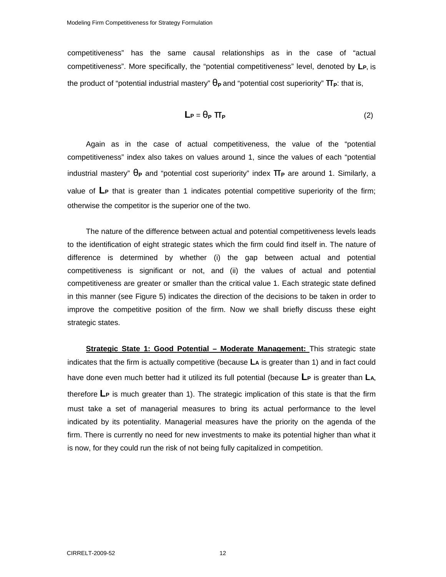competitiveness" has the same causal relationships as in the case of "actual competitiveness". More specifically, the "potential competitiveness" level, denoted by **LP,** is the product of "potential industrial mastery"  $\theta$ **P** and "potential cost superiority" **ΠP**: that is,

$$
L_P = \theta_P \Pi_P
$$
 (2)

Again as in the case of actual competitiveness, the value of the "potential competitiveness" index also takes on values around 1, since the values of each "potential industrial mastery" θ**P** and "potential cost superiority" index π**P** are around 1. Similarly, a value of **LP** that is greater than 1 indicates potential competitive superiority of the firm; otherwise the competitor is the superior one of the two.

The nature of the difference between actual and potential competitiveness levels leads to the identification of eight strategic states which the firm could find itself in. The nature of difference is determined by whether (i) the gap between actual and potential competitiveness is significant or not, and (ii) the values of actual and potential competitiveness are greater or smaller than the critical value 1. Each strategic state defined in this manner (see Figure 5) indicates the direction of the decisions to be taken in order to improve the competitive position of the firm. Now we shall briefly discuss these eight strategic states.

**Strategic State 1: Good Potential - Moderate Management:** This strategic state indicates that the firm is actually competitive (because **LA** is greater than 1) and in fact could have done even much better had it utilized its full potential (because L<sub>P</sub> is greater than L<sub>A</sub>, therefore **LP** is much greater than 1). The strategic implication of this state is that the firm must take a set of managerial measures to bring its actual performance to the level indicated by its potentiality. Managerial measures have the priority on the agenda of the firm. There is currently no need for new investments to make its potential higher than what it is now, for they could run the risk of not being fully capitalized in competition.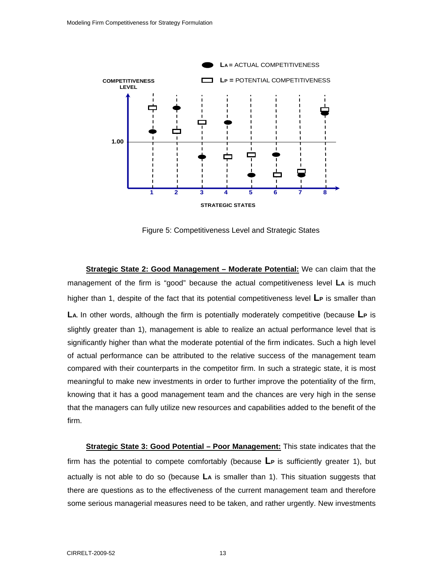

Figure 5: Competitiveness Level and Strategic States

**Strategic State 2: Good Management – Moderate Potential:** We can claim that the management of the firm is "good" because the actual competitiveness level **LA** is much higher than 1, despite of the fact that its potential competitiveness level **LP** is smaller than **LA.** In other words, although the firm is potentially moderately competitive (because **LP** is slightly greater than 1), management is able to realize an actual performance level that is significantly higher than what the moderate potential of the firm indicates. Such a high level of actual performance can be attributed to the relative success of the management team compared with their counterparts in the competitor firm. In such a strategic state, it is most meaningful to make new investments in order to further improve the potentiality of the firm, knowing that it has a good management team and the chances are very high in the sense that the managers can fully utilize new resources and capabilities added to the benefit of the firm.

**Strategic State 3: Good Potential – Poor Management:** This state indicates that the firm has the potential to compete comfortably (because **LP** is sufficiently greater 1), but actually is not able to do so (because **LA** is smaller than 1). This situation suggests that there are questions as to the effectiveness of the current management team and therefore some serious managerial measures need to be taken, and rather urgently. New investments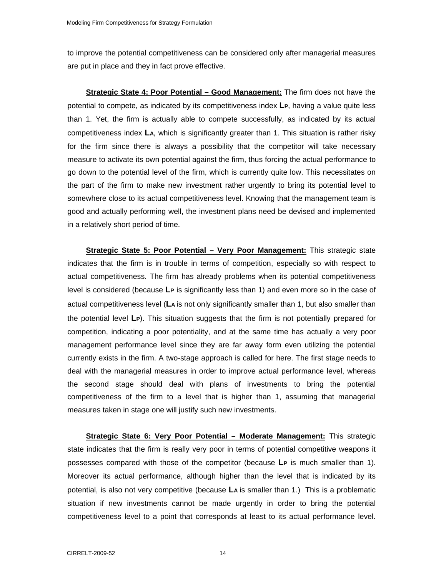to improve the potential competitiveness can be considered only after managerial measures are put in place and they in fact prove effective.

**Strategic State 4: Poor Potential – Good Management:** The firm does not have the potential to compete, as indicated by its competitiveness index **LP**, having a value quite less than 1. Yet, the firm is actually able to compete successfully, as indicated by its actual competitiveness index **LA**, which is significantly greater than 1. This situation is rather risky for the firm since there is always a possibility that the competitor will take necessary measure to activate its own potential against the firm, thus forcing the actual performance to go down to the potential level of the firm, which is currently quite low. This necessitates on the part of the firm to make new investment rather urgently to bring its potential level to somewhere close to its actual competitiveness level. Knowing that the management team is good and actually performing well, the investment plans need be devised and implemented in a relatively short period of time.

**Strategic State 5: Poor Potential – Very Poor Management:** This strategic state indicates that the firm is in trouble in terms of competition, especially so with respect to actual competitiveness. The firm has already problems when its potential competitiveness level is considered (because **LP** is significantly less than 1) and even more so in the case of actual competitiveness level (**LA** is not only significantly smaller than 1, but also smaller than the potential level **LP**). This situation suggests that the firm is not potentially prepared for competition, indicating a poor potentiality, and at the same time has actually a very poor management performance level since they are far away form even utilizing the potential currently exists in the firm. A two-stage approach is called for here. The first stage needs to deal with the managerial measures in order to improve actual performance level, whereas the second stage should deal with plans of investments to bring the potential competitiveness of the firm to a level that is higher than 1, assuming that managerial measures taken in stage one will justify such new investments.

**Strategic State 6: Very Poor Potential – Moderate Management:** This strategic state indicates that the firm is really very poor in terms of potential competitive weapons it possesses compared with those of the competitor (because **LP** is much smaller than 1). Moreover its actual performance, although higher than the level that is indicated by its potential, is also not very competitive (because **LA** is smaller than 1.) This is a problematic situation if new investments cannot be made urgently in order to bring the potential competitiveness level to a point that corresponds at least to its actual performance level.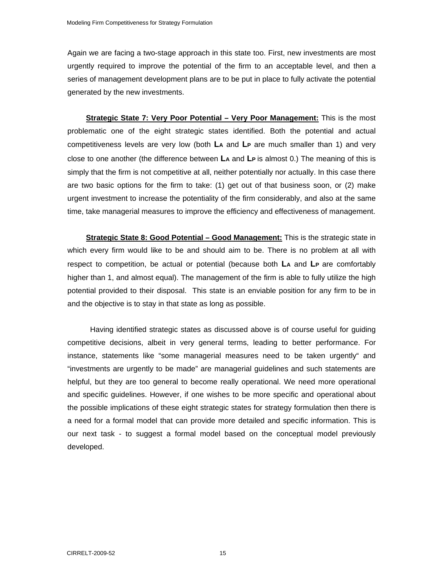Again we are facing a two-stage approach in this state too. First, new investments are most urgently required to improve the potential of the firm to an acceptable level, and then a series of management development plans are to be put in place to fully activate the potential generated by the new investments.

**Strategic State 7: Very Poor Potential – Very Poor Management:** This is the most problematic one of the eight strategic states identified. Both the potential and actual competitiveness levels are very low (both **LA** and **LP** are much smaller than 1) and very close to one another (the difference between **LA** and **LP** is almost 0.) The meaning of this is simply that the firm is not competitive at all, neither potentially nor actually. In this case there are two basic options for the firm to take: (1) get out of that business soon, or (2) make urgent investment to increase the potentiality of the firm considerably, and also at the same time, take managerial measures to improve the efficiency and effectiveness of management.

**Strategic State 8: Good Potential – Good Management:** This is the strategic state in which every firm would like to be and should aim to be. There is no problem at all with respect to competition, be actual or potential (because both **LA** and **LP** are comfortably higher than 1, and almost equal). The management of the firm is able to fully utilize the high potential provided to their disposal. This state is an enviable position for any firm to be in and the objective is to stay in that state as long as possible.

 Having identified strategic states as discussed above is of course useful for guiding competitive decisions, albeit in very general terms, leading to better performance. For instance, statements like "some managerial measures need to be taken urgently" and "investments are urgently to be made" are managerial guidelines and such statements are helpful, but they are too general to become really operational. We need more operational and specific guidelines. However, if one wishes to be more specific and operational about the possible implications of these eight strategic states for strategy formulation then there is a need for a formal model that can provide more detailed and specific information. This is our next task - to suggest a formal model based on the conceptual model previously developed.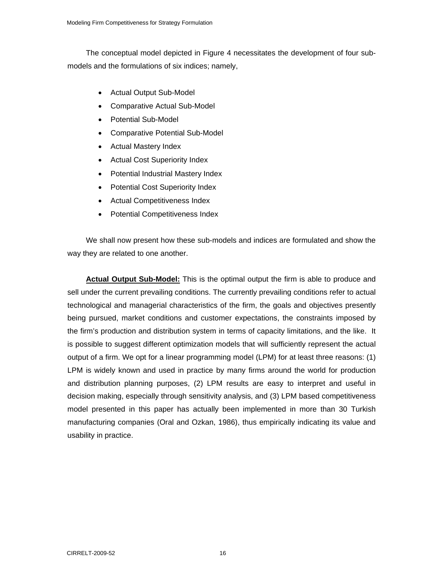The conceptual model depicted in Figure 4 necessitates the development of four submodels and the formulations of six indices; namely,

- Actual Output Sub-Model
- Comparative Actual Sub-Model
- Potential Sub-Model
- Comparative Potential Sub-Model
- Actual Mastery Index
- Actual Cost Superiority Index
- Potential Industrial Mastery Index
- Potential Cost Superiority Index
- Actual Competitiveness Index
- Potential Competitiveness Index

We shall now present how these sub-models and indices are formulated and show the way they are related to one another.

**Actual Output Sub-Model:** This is the optimal output the firm is able to produce and sell under the current prevailing conditions. The currently prevailing conditions refer to actual technological and managerial characteristics of the firm, the goals and objectives presently being pursued, market conditions and customer expectations, the constraints imposed by the firm's production and distribution system in terms of capacity limitations, and the like. It is possible to suggest different optimization models that will sufficiently represent the actual output of a firm. We opt for a linear programming model (LPM) for at least three reasons: (1) LPM is widely known and used in practice by many firms around the world for production and distribution planning purposes, (2) LPM results are easy to interpret and useful in decision making, especially through sensitivity analysis, and (3) LPM based competitiveness model presented in this paper has actually been implemented in more than 30 Turkish manufacturing companies (Oral and Ozkan, 1986), thus empirically indicating its value and usability in practice.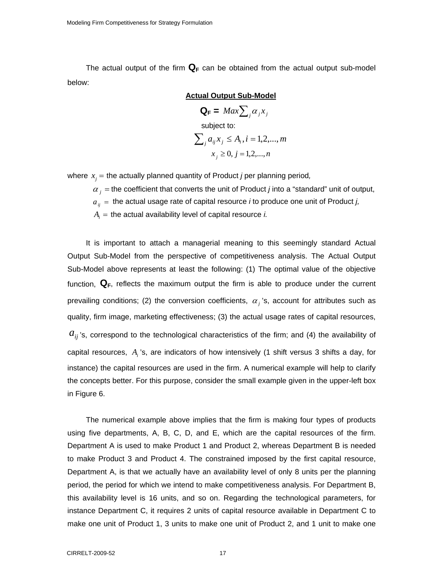The actual output of the firm  $\mathbf{Q}_F$  can be obtained from the actual output sub-model below:

**Actual Output Sub-Model**  $\mathbf{Q}_\mathbf{F} = \mathit{Max}\sum_i \alpha_i x_i$  subject to:  $\sum_{j} a_{ij} x_{j} \leq A_{i}, i = 1, 2, ..., m$  $x_i \geq 0, j = 1,2,...,n$ 

where  $x_i$  = the actually planned quantity of Product *j* per planning period,

 $\alpha_i$  = the coefficient that converts the unit of Product *j* into a "standard" unit of output,

 $a_{ij}$  = the actual usage rate of capital resource *i* to produce one unit of Product *j*,

 $A_i$  = the actual availability level of capital resource *i.* 

It is important to attach a managerial meaning to this seemingly standard Actual Output Sub-Model from the perspective of competitiveness analysis. The Actual Output Sub-Model above represents at least the following: (1) The optimal value of the objective function,  $\mathbf{Q}_\text{F}$ , reflects the maximum output the firm is able to produce under the current prevailing conditions; (2) the conversion coefficients,  $\alpha_j$ 's, account for attributes such as quality, firm image, marketing effectiveness; (3) the actual usage rates of capital resources,  $a_{ij}$ 's, correspond to the technological characteristics of the firm; and (4) the availability of capital resources, *Ai* 's, are indicators of how intensively (1 shift versus 3 shifts a day, for instance) the capital resources are used in the firm. A numerical example will help to clarify the concepts better. For this purpose, consider the small example given in the upper-left box in Figure 6.

The numerical example above implies that the firm is making four types of products using five departments, A, B, C, D, and E, which are the capital resources of the firm. Department A is used to make Product 1 and Product 2, whereas Department B is needed to make Product 3 and Product 4. The constrained imposed by the first capital resource, Department A, is that we actually have an availability level of only 8 units per the planning period, the period for which we intend to make competitiveness analysis. For Department B, this availability level is 16 units, and so on. Regarding the technological parameters, for instance Department C, it requires 2 units of capital resource available in Department C to make one unit of Product 1, 3 units to make one unit of Product 2, and 1 unit to make one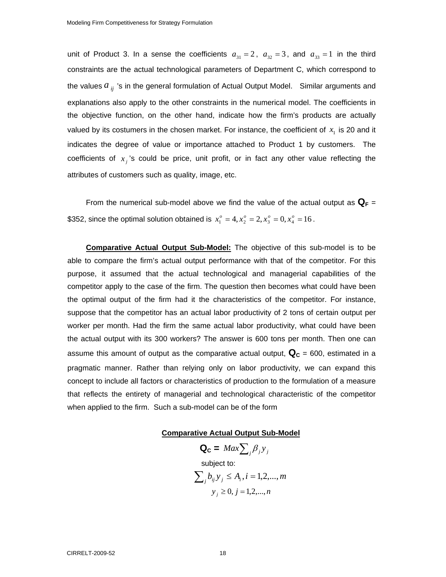unit of Product 3. In a sense the coefficients  $a_{31} = 2$ ,  $a_{32} = 3$ , and  $a_{33} = 1$  in the third constraints are the actual technological parameters of Department C, which correspond to the values  $a_{ij}$  's in the general formulation of Actual Output Model. Similar arguments and explanations also apply to the other constraints in the numerical model. The coefficients in the objective function, on the other hand, indicate how the firm's products are actually valued by its costumers in the chosen market. For instance, the coefficient of  $x<sub>1</sub>$  is 20 and it indicates the degree of value or importance attached to Product 1 by customers. The coefficients of  $x_i$ 's could be price, unit profit, or in fact any other value reflecting the attributes of customers such as quality, image, etc.

From the numerical sub-model above we find the value of the actual output as  $\mathbf{Q}_F =$ \$352, since the optimal solution obtained is  $x_1^o = 4$ ,  $x_2^o = 2$ ,  $x_3^o = 0$ ,  $x_4^o = 16$ .

**Comparative Actual Output Sub-Model:** The objective of this sub-model is to be able to compare the firm's actual output performance with that of the competitor. For this purpose, it assumed that the actual technological and managerial capabilities of the competitor apply to the case of the firm. The question then becomes what could have been the optimal output of the firm had it the characteristics of the competitor. For instance, suppose that the competitor has an actual labor productivity of 2 tons of certain output per worker per month. Had the firm the same actual labor productivity, what could have been the actual output with its 300 workers? The answer is 600 tons per month. Then one can assume this amount of output as the comparative actual output,  $\mathbf{Q}_c$  = 600, estimated in a pragmatic manner. Rather than relying only on labor productivity, we can expand this concept to include all factors or characteristics of production to the formulation of a measure that reflects the entirety of managerial and technological characteristic of the competitor when applied to the firm. Such a sub-model can be of the form

#### **Comparative Actual Output Sub-Model**

 $\mathbf{Q_c} = \text{Max} \sum_i \beta_i y_i$  subject to:  $\sum_{i} b_{ij} y_j \le A_i, i = 1, 2, ..., m$  $y_i \ge 0, j = 1,2,...,n$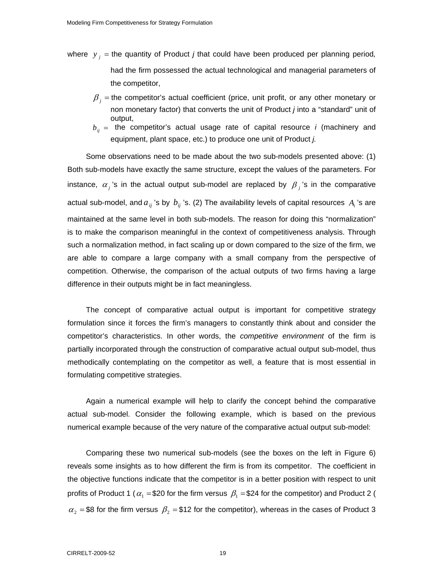- where *y <sup>j</sup>* = the quantity of Product *j* that could have been produced per planning period*,* had the firm possessed the actual technological and managerial parameters of the competitor,
	- $\beta_i$  = the competitor's actual coefficient (price, unit profit, or any other monetary or non monetary factor) that converts the unit of Product *j* into a "standard" unit of output,
	- $b_{ii}$  = the competitor's actual usage rate of capital resource *i* (machinery and equipment, plant space, etc.) to produce one unit of Product *j.*

Some observations need to be made about the two sub-models presented above: (1) Both sub-models have exactly the same structure, except the values of the parameters. For instance,  $\alpha_j$ 's in the actual output sub-model are replaced by  $\beta_j$ 's in the comparative actual sub-model, and  $a_{ij}$ 's by  $b_{ij}$ 's. (2) The availability levels of capital resources  $A_i$ 's are maintained at the same level in both sub-models. The reason for doing this "normalization" is to make the comparison meaningful in the context of competitiveness analysis. Through such a normalization method, in fact scaling up or down compared to the size of the firm, we are able to compare a large company with a small company from the perspective of competition. Otherwise, the comparison of the actual outputs of two firms having a large difference in their outputs might be in fact meaningless.

The concept of comparative actual output is important for competitive strategy formulation since it forces the firm's managers to constantly think about and consider the competitor's characteristics. In other words, the *competitive environment* of the firm is partially incorporated through the construction of comparative actual output sub-model, thus methodically contemplating on the competitor as well, a feature that is most essential in formulating competitive strategies.

Again a numerical example will help to clarify the concept behind the comparative actual sub-model. Consider the following example, which is based on the previous numerical example because of the very nature of the comparative actual output sub-model:

Comparing these two numerical sub-models (see the boxes on the left in Figure 6) reveals some insights as to how different the firm is from its competitor. The coefficient in the objective functions indicate that the competitor is in a better position with respect to unit profits of Product 1 ( $\alpha_1$  = \$20 for the firm versus  $\beta_1$  = \$24 for the competitor) and Product 2 (  $\alpha_2$  = \$8 for the firm versus  $\beta_2$  = \$12 for the competitor), whereas in the cases of Product 3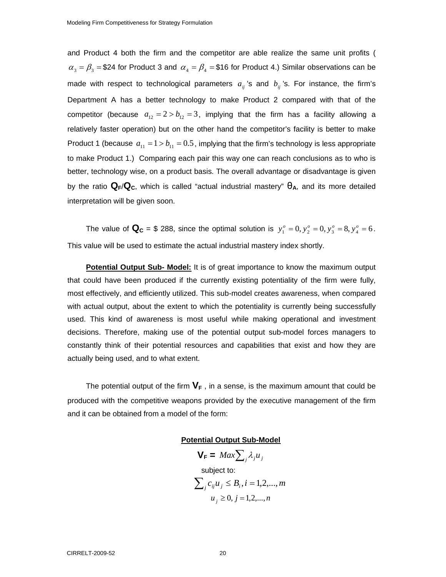and Product 4 both the firm and the competitor are able realize the same unit profits (  $\alpha_3 = \beta_3 =$  \$24 for Product 3 and  $\alpha_4 = \beta_4 =$  \$16 for Product 4.) Similar observations can be made with respect to technological parameters  $a_{ij}$ 's and  $b_{ij}$ 's. For instance, the firm's Department A has a better technology to make Product 2 compared with that of the competitor (because  $a_{12} = 2 > b_{12} = 3$ , implying that the firm has a facility allowing a relatively faster operation) but on the other hand the competitor's facility is better to make Product 1 (because  $a_{11} = 1 > b_{11} = 0.5$ , implying that the firm's technology is less appropriate to make Product 1.) Comparing each pair this way one can reach conclusions as to who is better, technology wise, on a product basis. The overall advantage or disadvantage is given by the ratio **QF**/**QC**, which is called "actual industrial mastery" θ**A**, and its more detailed interpretation will be given soon.

The value of  $\mathbf{Q_C} = $ 288$ , since the optimal solution is  $y_1^o = 0, y_2^o = 0, y_3^o = 8, y_4^o = 6$ . This value will be used to estimate the actual industrial mastery index shortly.

**Potential Output Sub- Model:** It is of great importance to know the maximum output that could have been produced if the currently existing potentiality of the firm were fully, most effectively, and efficiently utilized. This sub-model creates awareness, when compared with actual output, about the extent to which the potentiality is currently being successfully used. This kind of awareness is most useful while making operational and investment decisions. Therefore, making use of the potential output sub-model forces managers to constantly think of their potential resources and capabilities that exist and how they are actually being used, and to what extent.

The potential output of the firm  $V_F$ , in a sense, is the maximum amount that could be produced with the competitive weapons provided by the executive management of the firm and it can be obtained from a model of the form:

#### **Potential Output Sub-Model**

$$
\mathbf{V}_{\mathsf{F}} = \operatorname{Max} \sum_{j} \lambda_{j} u_{j}
$$
  
subject to:  

$$
\sum_{j} c_{ij} u_{j} \leq B_{i}, i = 1, 2, ..., m
$$
  

$$
u_{j} \geq 0, j = 1, 2, ..., n
$$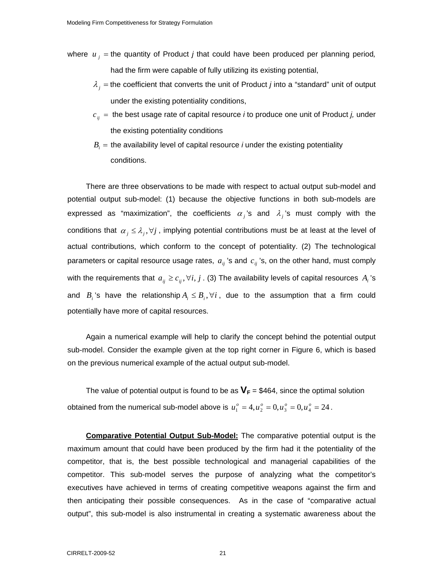- where  $u_j$  = the quantity of Product *j* that could have been produced per planning period, had the firm were capable of fully utilizing its existing potential,
	- $\lambda_i$  = the coefficient that converts the unit of Product *j* into a "standard" unit of output under the existing potentiality conditions,
	- $c_{ij}$  = the best usage rate of capital resource *i* to produce one unit of Product *j*, under the existing potentiality conditions
	- $B<sub>i</sub>$  = the availability level of capital resource *i* under the existing potentiality conditions.

There are three observations to be made with respect to actual output sub-model and potential output sub-model: (1) because the objective functions in both sub-models are expressed as "maximization", the coefficients  $\alpha_j$ 's and  $\lambda_j$ 's must comply with the conditions that  $\alpha_j \leq \lambda_j, \forall j$ , implying potential contributions must be at least at the level of actual contributions, which conform to the concept of potentiality. (2) The technological parameters or capital resource usage rates,  $a_{ij}$  's and  $c_{ij}$  's, on the other hand, must comply with the requirements that  $a_{ij} \ge c_{ij}$ ,  $\forall i, j$ . (3) The availability levels of capital resources  $A_i$ 's and  $B_i$ 's have the relationship  $A_i \leq B_i$ ,  $\forall i$ , due to the assumption that a firm could potentially have more of capital resources.

Again a numerical example will help to clarify the concept behind the potential output sub-model. Consider the example given at the top right corner in Figure 6, which is based on the previous numerical example of the actual output sub-model.

The value of potential output is found to be as  $V_F$  = \$464, since the optimal solution obtained from the numerical sub-model above is  $u_1^o = 4, u_2^o = 0, u_3^o = 0, u_4^o = 24$ .

**Comparative Potential Output Sub-Model:** The comparative potential output is the maximum amount that could have been produced by the firm had it the potentiality of the competitor, that is, the best possible technological and managerial capabilities of the competitor. This sub-model serves the purpose of analyzing what the competitor's executives have achieved in terms of creating competitive weapons against the firm and then anticipating their possible consequences. As in the case of "comparative actual output", this sub-model is also instrumental in creating a systematic awareness about the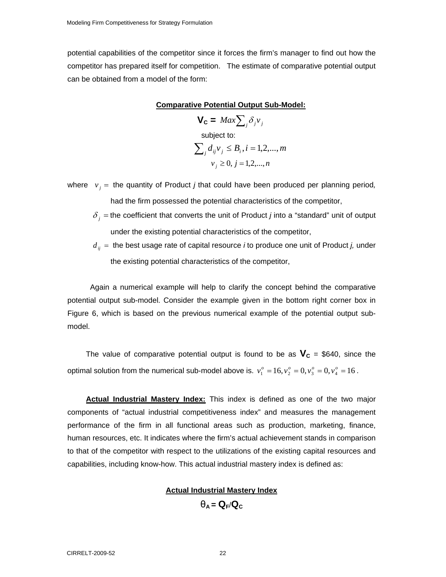potential capabilities of the competitor since it forces the firm's manager to find out how the competitor has prepared itself for competition. The estimate of comparative potential output can be obtained from a model of the form:

#### **Comparative Potential Output Sub-Model:**

 $V_c = Max \sum_i \delta_i v_i$  subject to:  $\sum_{j} d_{ij} v_j \leq B_i, i = 1, 2, ..., m$  $v_i \geq 0, j = 1,2,...,n$ 

- where  $v_j =$  the quantity of Product *j* that could have been produced per planning period, had the firm possessed the potential characteristics of the competitor,
	- $\delta_j$  = the coefficient that converts the unit of Product *j* into a "standard" unit of output under the existing potential characteristics of the competitor,
	- *dij* = the best usage rate of capital resource *i* to produce one unit of Product *j,* under the existing potential characteristics of the competitor,

 Again a numerical example will help to clarify the concept behind the comparative potential output sub-model. Consider the example given in the bottom right corner box in Figure 6, which is based on the previous numerical example of the potential output submodel.

The value of comparative potential output is found to be as  $V_c$  = \$640, since the optimal solution from the numerical sub-model above is.  $v_1^o = 16$ ,  $v_2^o = 0$ ,  $v_3^o = 0$ ,  $v_4^o = 16$ .

**Actual Industrial Mastery Index:** This index is defined as one of the two major components of "actual industrial competitiveness index" and measures the management performance of the firm in all functional areas such as production, marketing, finance, human resources, etc. It indicates where the firm's actual achievement stands in comparison to that of the competitor with respect to the utilizations of the existing capital resources and capabilities, including know-how. This actual industrial mastery index is defined as:

#### **Actual Industrial Mastery Index**

 $\theta_{\text{A}} = \mathbf{Q}_{\text{F}}/\mathbf{Q}_{\text{C}}$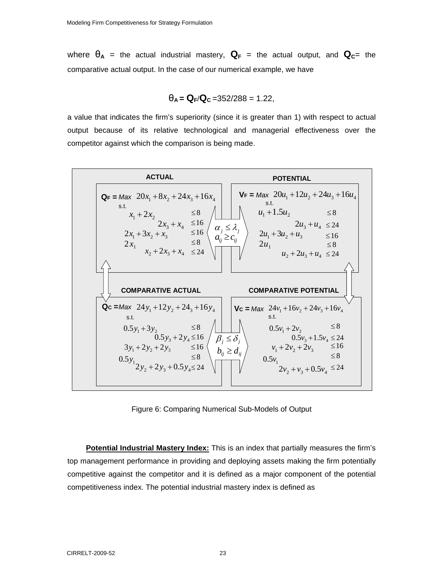where  $\theta_A$  = the actual industrial mastery,  $\mathbf{Q}_F$  = the actual output, and  $\mathbf{Q}_C$ = the comparative actual output. In the case of our numerical example, we have

$$
\theta_{A} = Q_{F}/Q_{C} = 352/288 = 1.22,
$$

a value that indicates the firm's superiority (since it is greater than 1) with respect to actual output because of its relative technological and managerial effectiveness over the competitor against which the comparison is being made.



Figure 6: Comparing Numerical Sub-Models of Output

**Potential Industrial Mastery Index:** This is an index that partially measures the firm's top management performance in providing and deploying assets making the firm potentially competitive against the competitor and it is defined as a major component of the potential competitiveness index. The potential industrial mastery index is defined as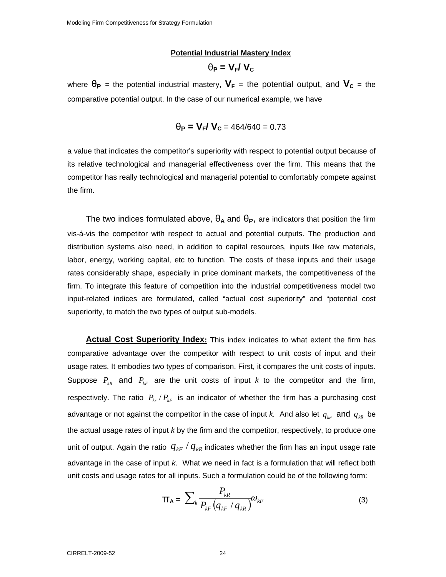#### **Potential Industrial Mastery Index**

$$
\theta_{\rm P} = V_{\rm F} / V_{\rm C}
$$

where  $\theta_{\text{P}}$  = the potential industrial mastery,  $V_{\text{F}}$  = the potential output, and  $V_{\text{C}}$  = the comparative potential output. In the case of our numerical example, we have

$$
\theta_{\rm P} = V_{\rm F} / V_{\rm C} = 464/640 = 0.73
$$

a value that indicates the competitor's superiority with respect to potential output because of its relative technological and managerial effectiveness over the firm. This means that the competitor has really technological and managerial potential to comfortably compete against the firm.

The two indices formulated above,  $\theta_A$  and  $\theta_P$ , are indicators that position the firm vis-á-vis the competitor with respect to actual and potential outputs. The production and distribution systems also need, in addition to capital resources, inputs like raw materials, labor, energy, working capital, etc to function. The costs of these inputs and their usage rates considerably shape, especially in price dominant markets, the competitiveness of the firm. To integrate this feature of competition into the industrial competitiveness model two input-related indices are formulated, called "actual cost superiority" and "potential cost superiority, to match the two types of output sub-models.

**Actual Cost Superiority Index:** This index indicates to what extent the firm has comparative advantage over the competitor with respect to unit costs of input and their usage rates. It embodies two types of comparison. First, it compares the unit costs of inputs. Suppose  $P_{kR}$  and  $P_{kF}$  are the unit costs of input *k* to the competitor and the firm, respectively. The ratio  $P_{kr}$  /  $P_{kF}$  is an indicator of whether the firm has a purchasing cost advantage or not against the competitor in the case of input *k*. And also let  $q_{\scriptscriptstyle kF}$  and  $q_{\scriptscriptstyle kR}$  be the actual usage rates of input *k* by the firm and the competitor, respectively, to produce one unit of output. Again the ratio  $q_{kF}$  /  $q_{kR}$  indicates whether the firm has an input usage rate advantage in the case of input *k*. What we need in fact is a formulation that will reflect both unit costs and usage rates for all inputs. Such a formulation could be of the following form:

$$
\mathbf{T}_{\mathbf{A}} = \sum_{k} \frac{P_{kR}}{P_{kF} \left( q_{kF} / q_{kR} \right)} \omega_{kF}
$$
 (3)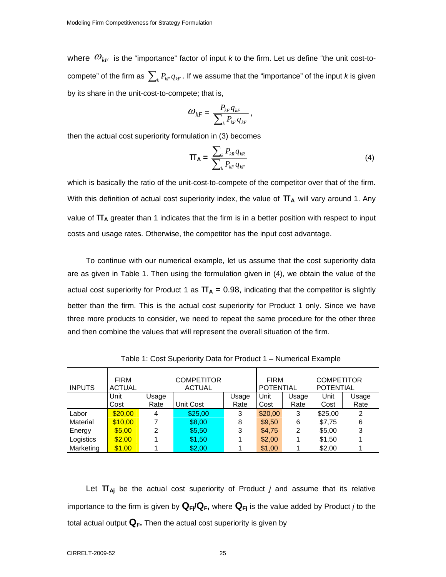where  $\omega_{k}$  is the "importance" factor of input *k* to the firm. Let us define "the unit cost-tocompete" of the firm as  $\sum_{k} P_{kF} q_{kF}$ . If we assume that the "importance" of the input *k* is given by its share in the unit-cost-to-compete; that is,

$$
\varpi_{kF} = \frac{P_{_{kF}} q_{_{kF}}}{\sum\nolimits_k P_{_{kF}} q_{_{kF}}}\,,
$$

then the actual cost superiority formulation in (3) becomes

$$
\mathbf{T}_{\mathbf{A}} = \frac{\sum_{k} P_{kR} q_{kR}}{\sum_{k} P_{kF} q_{kF}}
$$
(4)

which is basically the ratio of the unit-cost-to-compete of the competitor over that of the firm. With this definition of actual cost superiority index, the value of  $\Pi_A$  will vary around 1. Any value of  $\pi$ <sub>A</sub> greater than 1 indicates that the firm is in a better position with respect to input costs and usage rates. Otherwise, the competitor has the input cost advantage.

To continue with our numerical example, let us assume that the cost superiority data are as given in Table 1. Then using the formulation given in (4), we obtain the value of the actual cost superiority for Product 1 as  $\Pi_A = 0.98$ , indicating that the competitor is slightly better than the firm. This is the actual cost superiority for Product 1 only. Since we have three more products to consider, we need to repeat the same procedure for the other three and then combine the values that will represent the overall situation of the firm.

| <b>INPUTS</b> | <b>FIRM</b><br><b>ACTUAL</b> |       | <b>COMPETITOR</b><br><b>ACTUAL</b> |       | <b>FIRM</b><br><b>POTENTIAL</b> |       | <b>COMPETITOR</b><br><b>POTENTIAL</b> |       |
|---------------|------------------------------|-------|------------------------------------|-------|---------------------------------|-------|---------------------------------------|-------|
|               | Unit                         | Usage |                                    | Usage | Unit                            | Usage | Unit                                  | Usage |
|               | Cost                         | Rate  | <b>Unit Cost</b>                   | Rate  | Cost                            | Rate  | Cost                                  | Rate  |
| Labor         | \$20.00                      | 4     | \$25,00                            | 3     | \$20,00                         | 3     | \$25,00                               | 2     |
| Material      | \$10,00                      |       | \$8,00                             | 8     | \$9,50                          | 6     | \$7,75                                | 6     |
| Energy        | \$5,00                       | 2     | \$5,50                             | 3     | \$4,75                          | 2     | \$5,00                                | 3     |
| Logistics     | \$2,00                       |       | \$1,50                             |       | \$2,00                          |       | \$1,50                                |       |
| Marketing     | \$1,00                       |       | \$2.00                             |       | \$1,00                          |       | \$2,00                                |       |

Table 1: Cost Superiority Data for Product 1 – Numerical Example

Let π**Aj** be the actual cost superiority of Product *j* and assume that its relative importance to the firm is given by  $\mathbf{Q}_{Fj}/\mathbf{Q}_F$ , where  $\mathbf{Q}_{Fj}$  is the value added by Product *j* to the total actual output  $\mathbf{Q}_F$ . Then the actual cost superiority is given by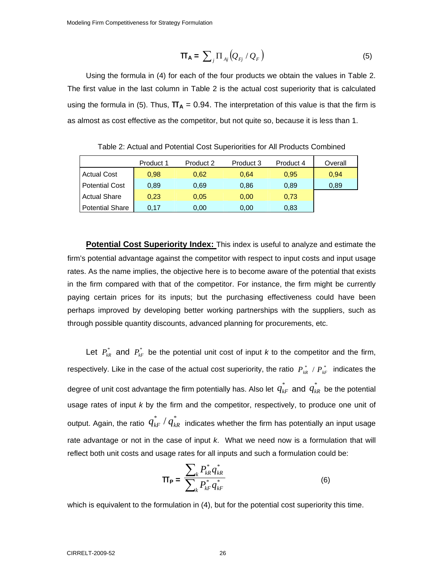$$
\mathbf{T}_{\mathbf{A}} = \sum_{j} \Pi_{A j} \left( Q_{Fj} / Q_{F} \right) \tag{5}
$$

Using the formula in (4) for each of the four products we obtain the values in Table 2. The first value in the last column in Table 2 is the actual cost superiority that is calculated using the formula in (5). Thus,  $\Pi_A = 0.94$ . The interpretation of this value is that the firm is as almost as cost effective as the competitor, but not quite so, because it is less than 1.

|                        | Product 1 | Product 2 | Product 3 | Product 4 | Overall |
|------------------------|-----------|-----------|-----------|-----------|---------|
| <b>Actual Cost</b>     | 0.98      | 0.62      | 0.64      | 0.95      | 0,94    |
| <b>Potential Cost</b>  | 0.89      | 0.69      | 0,86      | 0.89      | 0.89    |
| <b>Actual Share</b>    | 0,23      | 0.05      | 0,00      | 0.73      |         |
| <b>Potential Share</b> | 0.17      | 0,00      | 0,00      | 0,83      |         |

Table 2: Actual and Potential Cost Superiorities for All Products Combined

**Potential Cost Superiority Index:** This index is useful to analyze and estimate the firm's potential advantage against the competitor with respect to input costs and input usage rates. As the name implies, the objective here is to become aware of the potential that exists in the firm compared with that of the competitor. For instance, the firm might be currently paying certain prices for its inputs; but the purchasing effectiveness could have been perhaps improved by developing better working partnerships with the suppliers, such as through possible quantity discounts, advanced planning for procurements, etc.

Let  $P_{kR}^*$  and  $P_{kF}^*$  be the potential unit cost of input *k* to the competitor and the firm, respectively. Like in the case of the actual cost superiority, the ratio  $P_{kR}^* / P_{kF}^*$  indicates the degree of unit cost advantage the firm potentially has. Also let  $q_{kF}^*$  and  $q_{kR}^*$  be the potential usage rates of input *k* by the firm and the competitor, respectively, to produce one unit of output. Again, the ratio  $q_{\scriptscriptstyle kF}^*$  /  $q_{\scriptscriptstyle kR}^*$  indicates whether the firm has potentially an input usage rate advantage or not in the case of input *k*. What we need now is a formulation that will reflect both unit costs and usage rates for all inputs and such a formulation could be:

$$
\Pi_{\mathbf{P}} = \frac{\sum_{k} P_{kR}^* q_{kR}^*}{\sum_{k} P_{kF}^* q_{kF}^*}
$$
(6)

which is equivalent to the formulation in (4), but for the potential cost superiority this time.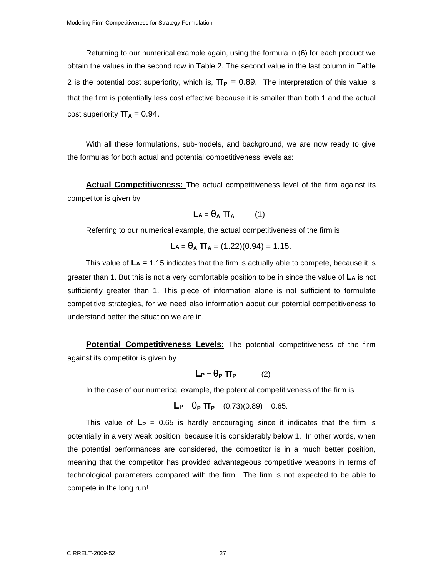Returning to our numerical example again, using the formula in (6) for each product we obtain the values in the second row in Table 2. The second value in the last column in Table 2 is the potential cost superiority, which is,  $\Pi_P = 0.89$ . The interpretation of this value is that the firm is potentially less cost effective because it is smaller than both 1 and the actual cost superiority  $\Pi_A = 0.94$ .

With all these formulations, sub-models, and background, we are now ready to give the formulas for both actual and potential competitiveness levels as:

**Actual Competitiveness:** The actual competitiveness level of the firm against its competitor is given by

$$
La = \theta_A \pi_A \qquad (1)
$$

Referring to our numerical example, the actual competitiveness of the firm is

$$
La = \theta_A \, \pi_A = (1.22)(0.94) = 1.15.
$$

This value of **LA** = 1.15 indicates that the firm is actually able to compete, because it is greater than 1. But this is not a very comfortable position to be in since the value of **LA** is not sufficiently greater than 1. This piece of information alone is not sufficient to formulate competitive strategies, for we need also information about our potential competitiveness to understand better the situation we are in.

**Potential Competitiveness Levels:** The potential competitiveness of the firm against its competitor is given by

$$
L_P = \theta_P \; \Pi_P \qquad (2)
$$

In the case of our numerical example, the potential competitiveness of the firm is

$$
L_P = \theta_P \; \Pi_P = (0.73)(0.89) = 0.65.
$$

This value of  $L_P = 0.65$  is hardly encouraging since it indicates that the firm is potentially in a very weak position, because it is considerably below 1. In other words, when the potential performances are considered, the competitor is in a much better position, meaning that the competitor has provided advantageous competitive weapons in terms of technological parameters compared with the firm. The firm is not expected to be able to compete in the long run!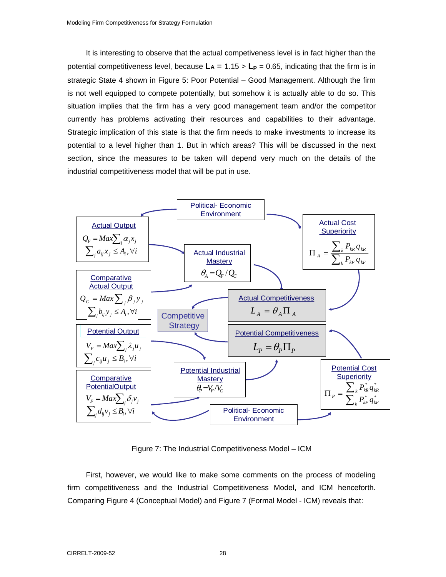It is interesting to observe that the actual competiveness level is in fact higher than the potential competitiveness level, because  $\mathbf{L} = 1.15 > \mathbf{L}_P = 0.65$ , indicating that the firm is in strategic State 4 shown in Figure 5: Poor Potential – Good Management. Although the firm is not well equipped to compete potentially, but somehow it is actually able to do so. This situation implies that the firm has a very good management team and/or the competitor currently has problems activating their resources and capabilities to their advantage. Strategic implication of this state is that the firm needs to make investments to increase its potential to a level higher than 1. But in which areas? This will be discussed in the next section, since the measures to be taken will depend very much on the details of the industrial competitiveness model that will be put in use.



Figure 7: The Industrial Competitiveness Model – ICM

First, however, we would like to make some comments on the process of modeling firm competitiveness and the Industrial Competitiveness Model, and ICM henceforth. Comparing Figure 4 (Conceptual Model) and Figure 7 (Formal Model - ICM) reveals that: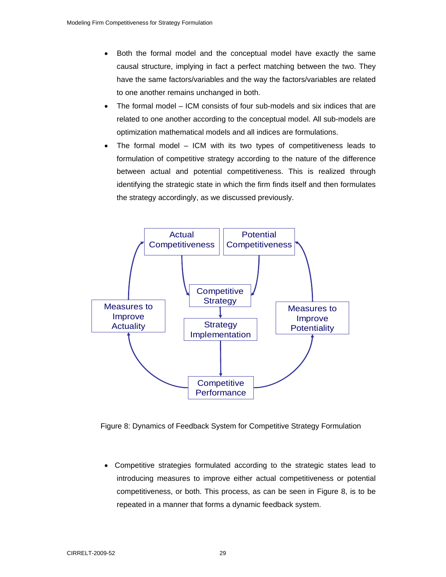- Both the formal model and the conceptual model have exactly the same causal structure, implying in fact a perfect matching between the two. They have the same factors/variables and the way the factors/variables are related to one another remains unchanged in both.
- The formal model ICM consists of four sub-models and six indices that are related to one another according to the conceptual model. All sub-models are optimization mathematical models and all indices are formulations.
- The formal model ICM with its two types of competitiveness leads to formulation of competitive strategy according to the nature of the difference between actual and potential competitiveness. This is realized through identifying the strategic state in which the firm finds itself and then formulates the strategy accordingly, as we discussed previously.



Figure 8: Dynamics of Feedback System for Competitive Strategy Formulation

• Competitive strategies formulated according to the strategic states lead to introducing measures to improve either actual competitiveness or potential competitiveness, or both. This process, as can be seen in Figure 8, is to be repeated in a manner that forms a dynamic feedback system.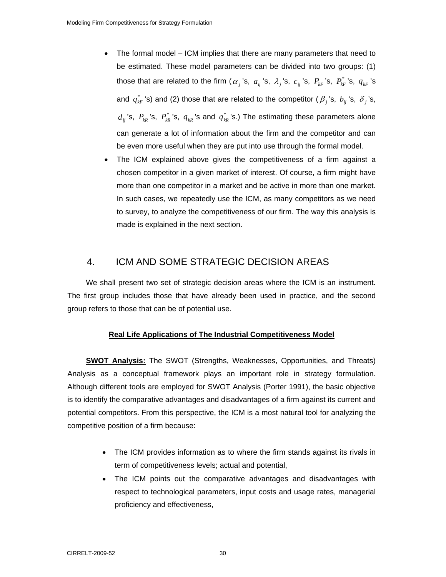- The formal model ICM implies that there are many parameters that need to be estimated. These model parameters can be divided into two groups: (1) those that are related to the firm  $(\alpha_j)$ 's,  $a_{ij}$ 's,  $\lambda_j$ 's,  $c_{ij}$ 's,  $P_{kF}$ 's,  $P_{kF}$ 's,  $q_{kF}$ 's and  $q_{\kappa}^{*}$  's) and (2) those that are related to the competitor ( $\beta_i$ 's,  $b_{ij}$ 's,  $\delta_j$ 's,  $d_{ij}$ 's,  $P_{kR}$ 's,  $P_{kR}^*$ 's,  $q_{kR}$ 's and  $q_{kR}^*$ 's.) The estimating these parameters alone can generate a lot of information about the firm and the competitor and can be even more useful when they are put into use through the formal model.
- The ICM explained above gives the competitiveness of a firm against a chosen competitor in a given market of interest. Of course, a firm might have more than one competitor in a market and be active in more than one market. In such cases, we repeatedly use the ICM, as many competitors as we need to survey, to analyze the competitiveness of our firm. The way this analysis is made is explained in the next section.

## 4. ICM AND SOME STRATEGIC DECISION AREAS

We shall present two set of strategic decision areas where the ICM is an instrument. The first group includes those that have already been used in practice, and the second group refers to those that can be of potential use.

#### **Real Life Applications of The Industrial Competitiveness Model**

**SWOT Analysis:** The SWOT (Strengths, Weaknesses, Opportunities, and Threats) Analysis as a conceptual framework plays an important role in strategy formulation. Although different tools are employed for SWOT Analysis (Porter 1991), the basic objective is to identify the comparative advantages and disadvantages of a firm against its current and potential competitors. From this perspective, the ICM is a most natural tool for analyzing the competitive position of a firm because:

- The ICM provides information as to where the firm stands against its rivals in term of competitiveness levels; actual and potential,
- The ICM points out the comparative advantages and disadvantages with respect to technological parameters, input costs and usage rates, managerial proficiency and effectiveness,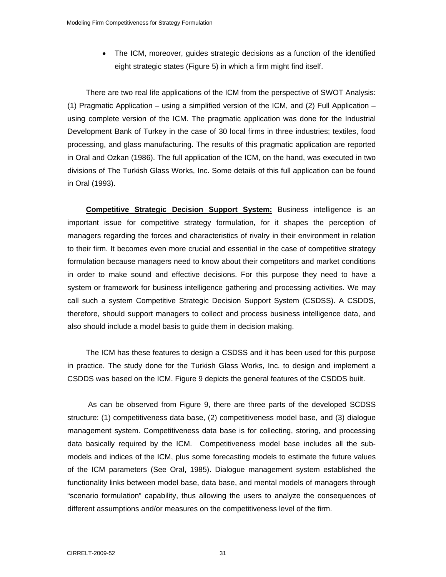• The ICM, moreover, guides strategic decisions as a function of the identified eight strategic states (Figure 5) in which a firm might find itself.

There are two real life applications of the ICM from the perspective of SWOT Analysis: (1) Pragmatic Application – using a simplified version of the ICM, and (2) Full Application – using complete version of the ICM. The pragmatic application was done for the Industrial Development Bank of Turkey in the case of 30 local firms in three industries; textiles, food processing, and glass manufacturing. The results of this pragmatic application are reported in Oral and Ozkan (1986). The full application of the ICM, on the hand, was executed in two divisions of The Turkish Glass Works, Inc. Some details of this full application can be found in Oral (1993).

**Competitive Strategic Decision Support System:** Business intelligence is an important issue for competitive strategy formulation, for it shapes the perception of managers regarding the forces and characteristics of rivalry in their environment in relation to their firm. It becomes even more crucial and essential in the case of competitive strategy formulation because managers need to know about their competitors and market conditions in order to make sound and effective decisions. For this purpose they need to have a system or framework for business intelligence gathering and processing activities. We may call such a system Competitive Strategic Decision Support System (CSDSS). A CSDDS, therefore, should support managers to collect and process business intelligence data, and also should include a model basis to guide them in decision making.

The ICM has these features to design a CSDSS and it has been used for this purpose in practice. The study done for the Turkish Glass Works, Inc. to design and implement a CSDDS was based on the ICM. Figure 9 depicts the general features of the CSDDS built.

 As can be observed from Figure 9, there are three parts of the developed SCDSS structure: (1) competitiveness data base, (2) competitiveness model base, and (3) dialogue management system. Competitiveness data base is for collecting, storing, and processing data basically required by the ICM. Competitiveness model base includes all the submodels and indices of the ICM, plus some forecasting models to estimate the future values of the ICM parameters (See Oral, 1985). Dialogue management system established the functionality links between model base, data base, and mental models of managers through "scenario formulation" capability, thus allowing the users to analyze the consequences of different assumptions and/or measures on the competitiveness level of the firm.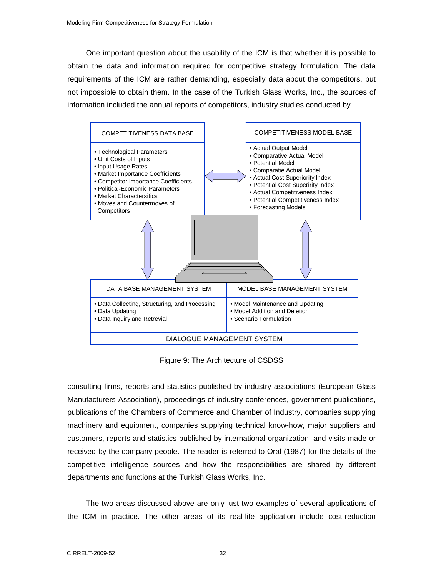One important question about the usability of the ICM is that whether it is possible to obtain the data and information required for competitive strategy formulation. The data requirements of the ICM are rather demanding, especially data about the competitors, but not impossible to obtain them. In the case of the Turkish Glass Works, Inc., the sources of information included the annual reports of competitors, industry studies conducted by



Figure 9: The Architecture of CSDSS

consulting firms, reports and statistics published by industry associations (European Glass Manufacturers Association), proceedings of industry conferences, government publications, publications of the Chambers of Commerce and Chamber of Industry, companies supplying machinery and equipment, companies supplying technical know-how, major suppliers and customers, reports and statistics published by international organization, and visits made or received by the company people. The reader is referred to Oral (1987) for the details of the competitive intelligence sources and how the responsibilities are shared by different departments and functions at the Turkish Glass Works, Inc.

The two areas discussed above are only just two examples of several applications of the ICM in practice. The other areas of its real-life application include cost-reduction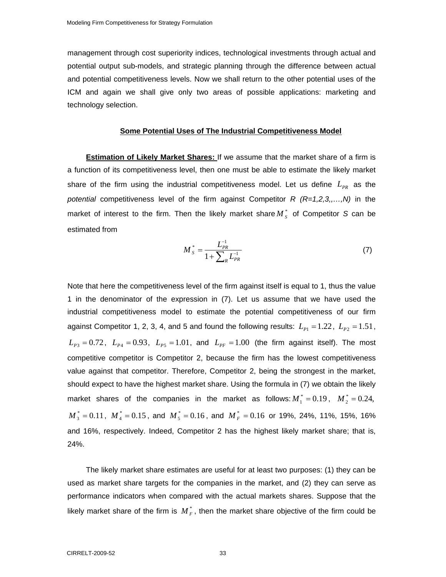management through cost superiority indices, technological investments through actual and potential output sub-models, and strategic planning through the difference between actual and potential competitiveness levels. Now we shall return to the other potential uses of the ICM and again we shall give only two areas of possible applications: marketing and technology selection.

#### **Some Potential Uses of The Industrial Competitiveness Model**

**Estimation of Likely Market Shares:** If we assume that the market share of a firm is a function of its competitiveness level, then one must be able to estimate the likely market share of the firm using the industrial competitiveness model. Let us define  $L_{PR}$  as the *potential* competitiveness level of the firm against Competitor *R (R=1,2,3,,…,N)* in the market of interest to the firm. Then the likely market share  $M_{s}^{*}$  of Competitor *S* can be estimated from

$$
M_{S}^{*} = \frac{L_{PR}^{-1}}{1 + \sum_{R} L_{PR}^{-1}}
$$
 (7)

Note that here the competitiveness level of the firm against itself is equal to 1, thus the value 1 in the denominator of the expression in (7). Let us assume that we have used the industrial competitiveness model to estimate the potential competitiveness of our firm against Competitor 1, 2, 3, 4, and 5 and found the following results:  $L_{p_1} = 1.22$ ,  $L_{p_2} = 1.51$ ,  $L_{p_3} = 0.72$ ,  $L_{p_4} = 0.93$ ,  $L_{p_5} = 1.01$ , and  $L_{p_F} = 1.00$  (the firm against itself). The most competitive competitor is Competitor 2, because the firm has the lowest competitiveness value against that competitor. Therefore, Competitor 2, being the strongest in the market, should expect to have the highest market share. Using the formula in (7) we obtain the likely market shares of the companies in the market as follows:  $M_1^* = 0.19$ ,  $M_2^* = 0.24$ ,  $M_3^* = 0.11$ ,  $M_4^* = 0.15$ , and  $M_5^* = 0.16$ , and  $M_F^* = 0.16$  or 19%, 24%, 11%, 15%, 16% and 16%, respectively. Indeed, Competitor 2 has the highest likely market share; that is, 24%.

The likely market share estimates are useful for at least two purposes: (1) they can be used as market share targets for the companies in the market, and (2) they can serve as performance indicators when compared with the actual markets shares. Suppose that the likely market share of the firm is  $M_F^*$ , then the market share objective of the firm could be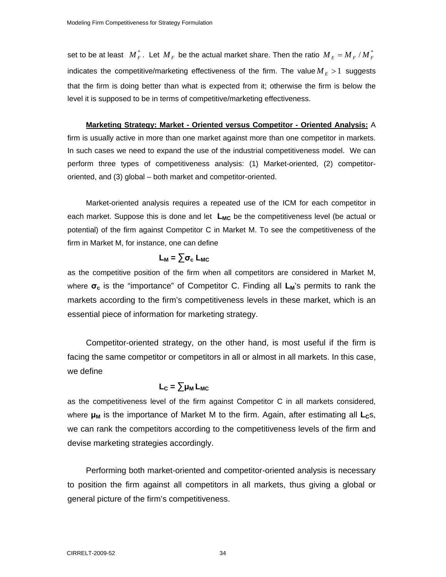set to be at least  $M_F^*$ . Let  $M_F$  be the actual market share. Then the ratio  $M_E = M_F/M_F^*$ indicates the competitive/marketing effectiveness of the firm. The value  $M_E > 1$  suggests that the firm is doing better than what is expected from it; otherwise the firm is below the level it is supposed to be in terms of competitive/marketing effectiveness.

**Marketing Strategy: Market - Oriented versus Competitor - Oriented Analysis:** A firm is usually active in more than one market against more than one competitor in markets. In such cases we need to expand the use of the industrial competitiveness model. We can perform three types of competitiveness analysis: (1) Market-oriented, (2) competitor-

oriented, and (3) global – both market and competitor-oriented. Market-oriented analysis requires a repeated use of the ICM for each competitor in

each market. Suppose this is done and let L<sub>MC</sub> be the competitiveness level (be actual or potential) of the firm against Competitor C in Market M. To see the competitiveness of the firm in Market M, for instance, one can define

## $L_M = \sum \sigma_c$  L<sub>MC</sub>

as the competitive position of the firm when all competitors are considered in Market M, where **σ**<sub>c</sub> is the "importance" of Competitor C. Finding all **L**<sub>M</sub>'s permits to rank the markets according to the firm's competitiveness levels in these market, which is an essential piece of information for marketing strategy.

Competitor-oriented strategy, on the other hand, is most useful if the firm is facing the same competitor or competitors in all or almost in all markets. In this case, we define

## $L_c = \sum \mu_M L_{MC}$

as the competitiveness level of the firm against Competitor C in all markets considered, where **μ<sub>M</sub>** is the importance of Market M to the firm. Again, after estimating all **L**<sub>c</sub>s, we can rank the competitors according to the competitiveness levels of the firm and devise marketing strategies accordingly.

Performing both market-oriented and competitor-oriented analysis is necessary to position the firm against all competitors in all markets, thus giving a global or general picture of the firm's competitiveness.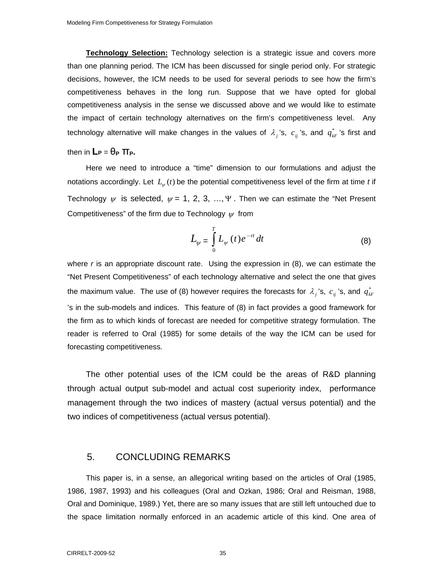**Technology Selection:** Technology selection is a strategic issue and covers more than one planning period. The ICM has been discussed for single period only. For strategic decisions, however, the ICM needs to be used for several periods to see how the firm's competitiveness behaves in the long run. Suppose that we have opted for global competitiveness analysis in the sense we discussed above and we would like to estimate the impact of certain technology alternatives on the firm's competitiveness level. Any technology alternative will make changes in the values of  $\lambda_i$ 's,  $c_{ij}$ 's, and  $q_{kF}^*$ 's first and

## then in  $\mathbf{L}_P = \theta_P \, \Pi_P$ .

Here we need to introduce a "time" dimension to our formulations and adjust the notations accordingly. Let  $L_{\psi}(t)$  be the potential competitiveness level of the firm at time *t* if Technology  $\psi$  is selected,  $\psi = 1, 2, 3, ..., \Psi$ . Then we can estimate the "Net Present" Competitiveness" of the firm due to Technology  $\psi$  from

$$
L_{\psi} = \int_{0}^{T} L_{\psi}(t) e^{-rt} dt
$$
 (8)

where *r* is an appropriate discount rate. Using the expression in (8), we can estimate the "Net Present Competitiveness" of each technology alternative and select the one that gives the maximum value. The use of (8) however requires the forecasts for  $\lambda_j$ 's,  $c_{ij}$ 's, and  $q_{\scriptscriptstyle kF}^*$ 's in the sub-models and indices. This feature of (8) in fact provides a good framework for the firm as to which kinds of forecast are needed for competitive strategy formulation. The reader is referred to Oral (1985) for some details of the way the ICM can be used for forecasting competitiveness.

The other potential uses of the ICM could be the areas of R&D planning through actual output sub-model and actual cost superiority index, performance management through the two indices of mastery (actual versus potential) and the two indices of competitiveness (actual versus potential).

#### 5. CONCLUDING REMARKS

This paper is, in a sense, an allegorical writing based on the articles of Oral (1985, 1986, 1987, 1993) and his colleagues (Oral and Ozkan, 1986; Oral and Reisman, 1988, Oral and Dominique, 1989.) Yet, there are so many issues that are still left untouched due to the space limitation normally enforced in an academic article of this kind. One area of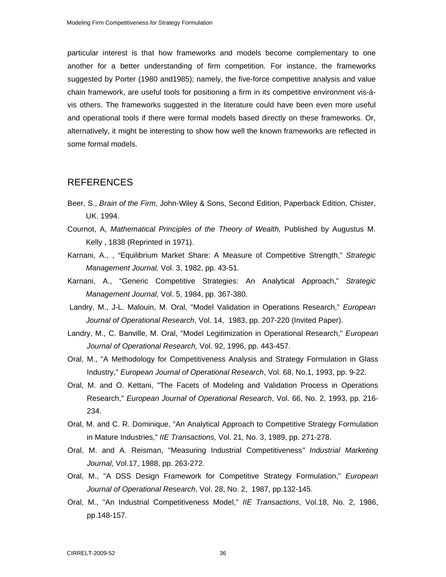particular interest is that how frameworks and models become complementary to one another for a better understanding of firm competition. For instance, the frameworks suggested by Porter (1980 and1985); namely, the five-force competitive analysis and value chain framework, are useful tools for positioning a firm in its competitive environment vis-ávis others. The frameworks suggested in the literature could have been even more useful and operational tools if there were formal models based directly on these frameworks. Or, alternatively, it might be interesting to show how well the known frameworks are reflected in some formal models.

### REFERENCES

- Beer, S., *Brain of the Firm*, John-Wiley & Sons, Second Edition, Paperback Edition, Chister, UK. 1994.
- Cournot, A, *Mathematical Principles of the Theory of Wealth,* Published by Augustus M. Kelly , 1838 (Reprinted in 1971).
- Karnani, A., , "Equilibrium Market Share: A Measure of Competitive Strength," *Strategic Management Journal,* Vol. 3, 1982, pp. 43-51.
- Karnani, A., "Generic Competitive Strategies: An Analytical Approach," *Strategic Management Journal,* Vol. 5, 1984, pp. 367-380.
- Landry, M., J-L. Malouin, M. Oral, "Model Validation in Operations Research," *European Journal of Operational Research*, Vol. 14, 1983, pp. 207-220 (Invited Paper).
- Landry, M., C. Banville, M. Oral, "Model Legitimization in Operational Research," *European Journal of Operational Research,* Vol. 92, 1996, pp. 443-457.
- Oral, M., "A Methodology for Competitiveness Analysis and Strategy Formulation in Glass Industry," *European Journal of Operational Research*, Vol. 68, No.1, 1993, pp. 9-22.
- Oral, M. and O. Kettani, "The Facets of Modeling and Validation Process in Operations Research," *European Journal of Operational Research*, Vol. 66, No. 2, 1993, pp. 216- 234.
- Oral, M. and C. R. Dominique, "An Analytical Approach to Competitive Strategy Formulation in Mature Industries," *IIE Transactions,* Vol. 21, No. 3, 1989, pp. 271-278.
- Oral, M. and A. Reisman, "Measuring Industrial Competitiveness*" Industrial Marketing Journal*, Vol.17, 1988, pp. 263-272.
- Oral, M., "A DSS Design Framework for Competitive Strategy Formulation," *European Journal of Operational Research*, Vol. 28, No. 2, 1987, pp.132-145.
- Oral, M., "An Industrial Competitiveness Model," *IIE Transactions*, Vol.18, No. 2, 1986, pp.148-157.